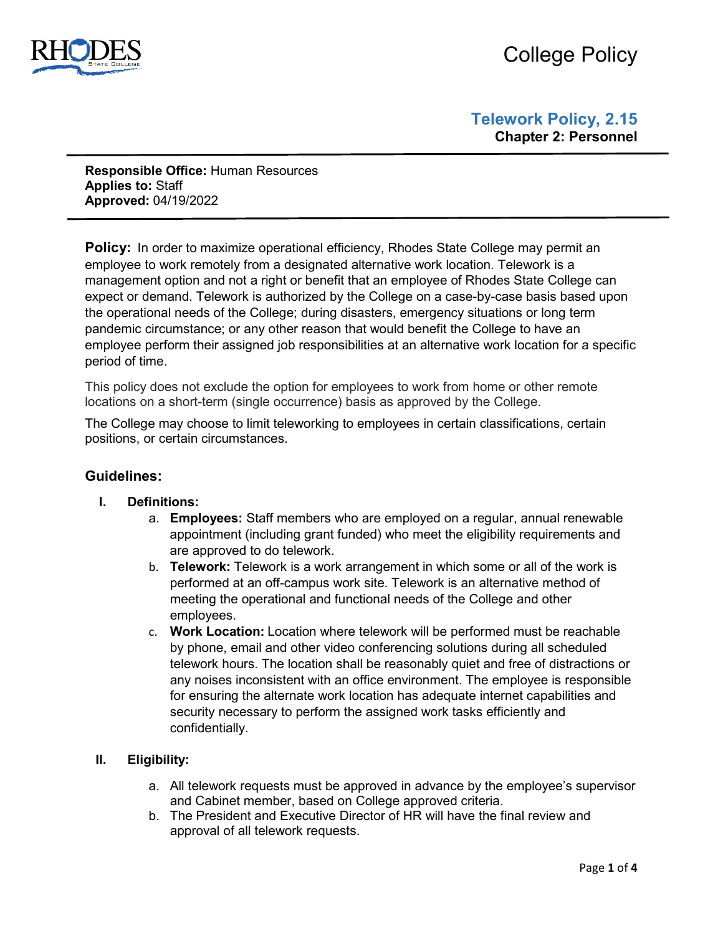

# College Policy

**Responsible Office:** Human Resources **Applies to:** Staff **Approved:** 04/19/2022

**Policy:** In order to maximize operational efficiency, Rhodes State College may permit an employee to work remotely from a designated alternative work location. Telework is a management option and not a right or benefit that an employee of Rhodes State College can expect or demand. Telework is authorized by the College on a case-by-case basis based upon the operational needs of the College; during disasters, emergency situations or long term pandemic circumstance; or any other reason that would benefit the College to have an employee perform their assigned job responsibilities at an alternative work location for a specific period of time.

This policy does not exclude the option for employees to work from home or other remote locations on a short-term (single occurrence) basis as approved by the College.

The College may choose to limit teleworking to employees in certain classifications, certain positions, or certain circumstances.

# **Guidelines:**

- **I. Definitions:** 
	- a. **Employees:** Staff members who are employed on a regular, annual renewable appointment (including grant funded) who meet the eligibility requirements and are approved to do telework.
	- b. **Telework:** Telework is a work arrangement in which some or all of the work is performed at an off-campus work site. Telework is an alternative method of meeting the operational and functional needs of the College and other employees.
	- c. **Work Location:** Location where telework will be performed must be reachable by phone, email and other video conferencing solutions during all scheduled telework hours. The location shall be reasonably quiet and free of distractions or any noises inconsistent with an office environment. The employee is responsible for ensuring the alternate work location has adequate internet capabilities and security necessary to perform the assigned work tasks efficiently and confidentially.

#### **II. Eligibility:**

- a. All telework requests must be approved in advance by the employee's supervisor and Cabinet member, based on College approved criteria.
- b. The President and Executive Director of HR will have the final review and approval of all telework requests.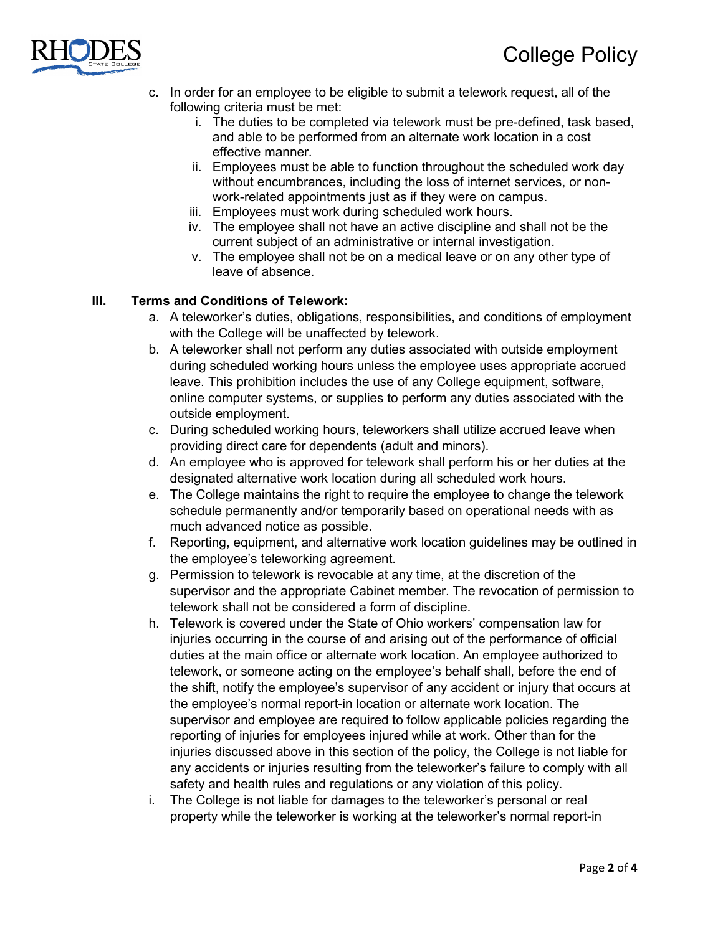

- c. In order for an employee to be eligible to submit a telework request, all of the following criteria must be met:
	- i. The duties to be completed via telework must be pre-defined, task based, and able to be performed from an alternate work location in a cost effective manner.
	- ii. Employees must be able to function throughout the scheduled work day without encumbrances, including the loss of internet services, or nonwork-related appointments just as if they were on campus.
	- iii. Employees must work during scheduled work hours.
	- iv. The employee shall not have an active discipline and shall not be the current subject of an administrative or internal investigation.
	- v. The employee shall not be on a medical leave or on any other type of leave of absence.

## **III. Terms and Conditions of Telework:**

- a. A teleworker's duties, obligations, responsibilities, and conditions of employment with the College will be unaffected by telework.
- b. A teleworker shall not perform any duties associated with outside employment during scheduled working hours unless the employee uses appropriate accrued leave. This prohibition includes the use of any College equipment, software, online computer systems, or supplies to perform any duties associated with the outside employment.
- c. During scheduled working hours, teleworkers shall utilize accrued leave when providing direct care for dependents (adult and minors).
- d. An employee who is approved for telework shall perform his or her duties at the designated alternative work location during all scheduled work hours.
- e. The College maintains the right to require the employee to change the telework schedule permanently and/or temporarily based on operational needs with as much advanced notice as possible.
- f. Reporting, equipment, and alternative work location guidelines may be outlined in the employee's teleworking agreement.
- g. Permission to telework is revocable at any time, at the discretion of the supervisor and the appropriate Cabinet member. The revocation of permission to telework shall not be considered a form of discipline.
- h. Telework is covered under the State of Ohio workers' compensation law for injuries occurring in the course of and arising out of the performance of official duties at the main office or alternate work location. An employee authorized to telework, or someone acting on the employee's behalf shall, before the end of the shift, notify the employee's supervisor of any accident or injury that occurs at the employee's normal report-in location or alternate work location. The supervisor and employee are required to follow applicable policies regarding the reporting of injuries for employees injured while at work. Other than for the injuries discussed above in this section of the policy, the College is not liable for any accidents or injuries resulting from the teleworker's failure to comply with all safety and health rules and regulations or any violation of this policy.
- i. The College is not liable for damages to the teleworker's personal or real property while the teleworker is working at the teleworker's normal report-in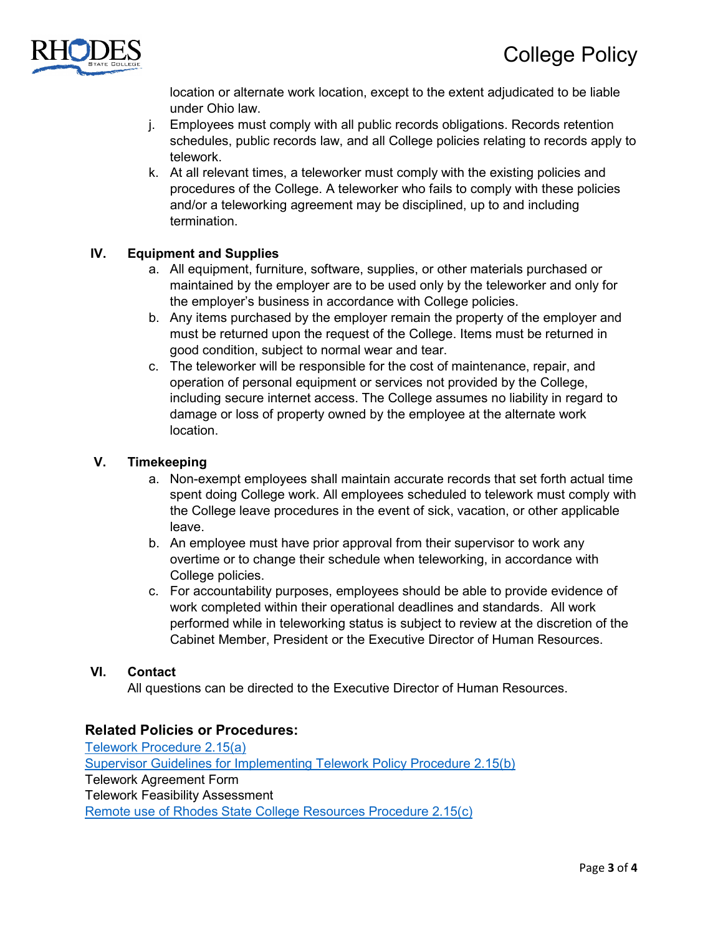

location or alternate work location, except to the extent adjudicated to be liable under Ohio law.

- j. Employees must comply with all public records obligations. Records retention schedules, public records law, and all College policies relating to records apply to telework.
- k. At all relevant times, a teleworker must comply with the existing policies and procedures of the College. A teleworker who fails to comply with these policies and/or a teleworking agreement may be disciplined, up to and including termination.

## **IV. Equipment and Supplies**

- a. All equipment, furniture, software, supplies, or other materials purchased or maintained by the employer are to be used only by the teleworker and only for the employer's business in accordance with College policies.
- b. Any items purchased by the employer remain the property of the employer and must be returned upon the request of the College. Items must be returned in good condition, subject to normal wear and tear.
- c. The teleworker will be responsible for the cost of maintenance, repair, and operation of personal equipment or services not provided by the College, including secure internet access. The College assumes no liability in regard to damage or loss of property owned by the employee at the alternate work location.

#### **V. Timekeeping**

- a. Non-exempt employees shall maintain accurate records that set forth actual time spent doing College work. All employees scheduled to telework must comply with the College leave procedures in the event of sick, vacation, or other applicable leave.
- b. An employee must have prior approval from their supervisor to work any overtime or to change their schedule when teleworking, in accordance with College policies.
- c. For accountability purposes, employees should be able to provide evidence of work completed within their operational deadlines and standards. All work performed while in teleworking status is subject to review at the discretion of the Cabinet Member, President or the Executive Director of Human Resources.

#### **VI. Contact**

All questions can be directed to the Executive Director of Human Resources.

#### **Related Policies or Procedures:**

[Telework Procedure 2.15\(a\)](https://www.rhodesstate.edu/_files/telework-procedure-2.15a.pdf) [Supervisor Guidelines for Implementing Telework Policy Procedure 2.15\(b\)](https://www.rhodesstate.edu/_files/telework-guidelines-for-supervisors-2.15b.pdf) Telework Agreement Form Telework Feasibility Assessment [Remote use of Rhodes State College Resources Procedure 2.15\(c\)](https://www.rhodesstate.edu/_files/remote-use-of-rhodes-state-college-resources-procedure-2.15c.pdf)